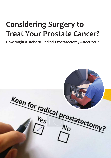# **Considering Surgery to Treat Your Prostate Cancer?**

**How Might a Robotic Radical Prostatectomy Affect You?**

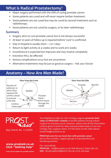# **What is Radical Prostatectomy**?

- Major surgery performed with the AIM of curing prostate cancer.
- Some patients are cured and will never require further treatment.
- Some patients are not cured but may be cured by second treatment such as radiotherapy.
- Some patients are not cured by surgery, or by later radiotherapy

#### **Summary**

- Surgery aims to cure prostate cancer but is not always successful
- At least 10 years of follow up is required before 'cure' is confirmed
- Stay in hospital is usually short 1 or 2 days
- Return to light activity at 4 weeks and to work at 6 weeks
- Incontinence is expected but improves and may resolve completely
- Erections WILL be affected
- Serious complications occur but are uncommon
- Alternative treatments may be just as good as surgery Ask your Doctor

# **Anatomy – How Are Men Made?**



Reg Charity No. 1116935

#### **www.prostaid.co.uk Click "Getting help"**

Are delighted to help our UHL Urology surgeons **promote their video on PROSTaid's website** to benefit patients having robotic surgery for prostate cancer, however please note all the information content given in both the video and associated notes is from the Urology UHL surgeons alone. For full notes on this video please email info@prostaid.co.uk.

**PROSTaid cares for our local men with prostate cancer** We run five monthly support groups in Leicestershire and Northamptonshire

For more details **PROSTaid** : rob@prostaid.co.uk | Rob Banner | 07900 384 103 **UHL** : Nicola.bakewell@uhl-tr.nhs.uk | 0116 258 4490

**Local care & support for prostate Cancer**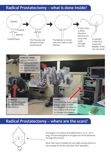# **Radical Prostatectomy – what is done inside?**





## **Radical Prostatectomy – where are the scars?**



The largest cut is above the belly button. It is 4 – 6cm long. The prostate gland is brought out of the abdomen through this incision.

Most men stay in hospital for one night and go home on the evening of the first day after their operation.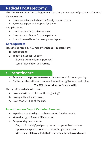# **Radical Prostatectomy**?

This is major surgery. It usually goes well but there a two types of problems afterwards.

#### **Consequences**

- These are effects which will definitely happen to you;
- you must expect and prepare for them

#### **Complications**

- These are events which may occur.
- They cause problems for some patients.
- You will be told how frequently they happen.

### **Consequences**

Issues to be faced by ALL men after Radical Prostatectomy

- 1) Incontinence
- 2) Impact on Sexual Function Erectile Dysfunction (Impotence) Loss of Ejaculation and Fertility

# **1 - Incontinence**

- Removal of the prostate weakens the muscles which keep you dry.
- On the day the catheter is removed more than 95% of men leak urine.

#### **You WILL leak urine, not 'may' – WILL**

The questions which follow are:

- 1. How bad will the leak be at the beginning?
- 2. How quickly will it improve?
- 3. How good will I be at the end?

## **Incontinence – Day of Catheter Removal**

- Experience on the day of catheter removal varies greatly
- More than 95% of men will leak urine
- Range of day 1 experience

 Only 1 thin 'safety' pad per 24 hours to cope with minor leak Up to 6 pads per 24 hours to cope with significant leak

**Most men will have a leak that is between these two extremes**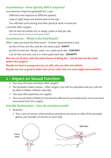## **Incontinence –How Quickly Will it Improve?**

Incontinence Improves gradually for 1 year

 Different men improve at different speeds.

Leak at night improves before leak in the day.

You will leak more during and after physical work or exercise

3 months after surgery

60% of men are either dry or using 2 pads or less per day This means that 40% of men are not as good as that!

## **Incontinence – What is the End Result?**

After 1 year you have the final result – further improvement is rare

40-60% of men are dry, and do not need a pad - **HAPPY**

40-60% of men are 'damp', wear 1 or 2 pads each day - **CONTENT**

2-5% of men are wet, use 4 or more pads each day - **UNHAPPY**

**Men do not all start with the same chance of being dry – not all men are the same before the surgery!**

**Results are best in young men (50 yrs old), who are slim and athletic Results are not so good in older men (70 yrs old), who are overweight and unathletic**

# **2 – Impact on Sexual Function**

- You may not have erections after surgery
- The prostate makes semen after surgery you will not ejaculate and you will not be able to father children naturally.
- You may still experience an orgasm
- Your sexual desire (libido) is not directly affected by prostatectomy once you have recovered from the surgery

## **Erectile Dysfunction – how do erections work?**

- Anatomy
	- The 2 sets of nerves which produce erections are stuck on side of the prostate gland, one 'bundle' of nerves on each side

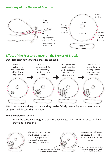## **Anatomy of the Nerves of Erection**



### **Effect of the Prostate Cancer on the Nerves of Erection**

Does it matter how large the prostate cancer is?



**MRI Scans are not always accurate, they can be falsely reassuring or alarming – your surgeon will discuss this with you**

#### **Wide Excision Dissection**

when the cancer is thought to be more advanced, or when a man does not have erections to preserve



The surgeon removes as much tissue around the prostate as possible to increase the chances of removing all the cancer

The nerves are deliberately removed. There will be no natural erections after surgery

The nerves remain attached to the prostate and everything is sent to the lab for analysis

The aim is to take a rim of healthy tissue covering the cancer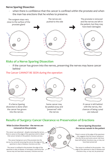#### **Nerve Sparing Dissection**

when there is confidence that the cancer is confined within the prostate and when the man has erections that he wishes to preserve.



#### **Risks of a Nerve Sparing Dissection**

if the cancer has grown into the nerves, preserving the nerves may leave cancer behind

#### The Cancer CANNOT BE SEEN during the operation



If a Nerve Sparing dissection is done when the cancer has grown into the nerves -



Some cancer may be peeled away and 'preserved' with the nerves



If cancer is left behind with the nerves, the chances of being cured are reduced

## **Results of Surgery: Cancer Clearance vs Preservation of Erections**

#### **Wide Excision Dissection - the nerves are removed on the prostate**

The cancer was advanced – despite removing the nerves there is cancer at the edge of the specimen and it is likely that cancer remains in the patient. Erections are lost.

The cancer had grown out of the prostate into the nerves- by correctly removing the nerves the edge of the specimen is clear of disease. Erections are lost.

The cancer is confined to the prostate: the edge of the specimen is clear of disease. In retrospect, removal of the nerves may not have been necessary. Erections are lost.

**Nerve Sparing Dissection - the nerves remain in the patient**

There is cancer at the edge of the specimen – this suggests that the cancer had grown into the nerves and some cancer may have been left behind. Erections may, or may not have been preserved

The cancer is confined to the prostate – the edge of the specimen is clear of disease and erections may, or may not, be preserved